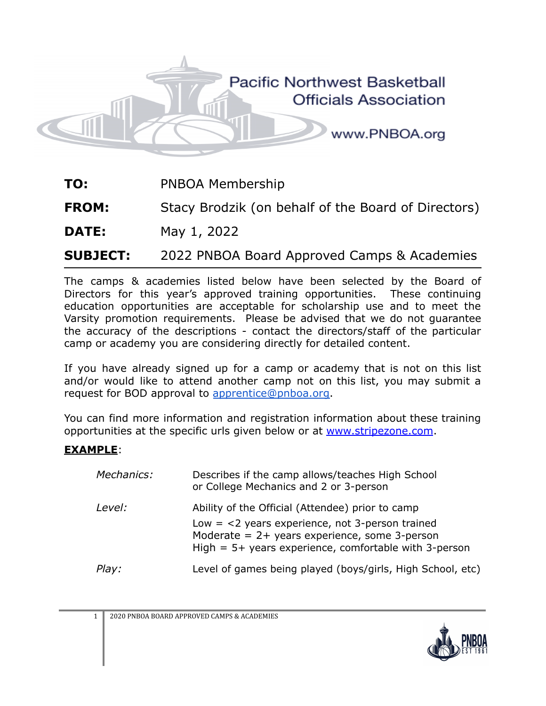

**TO:** PNBOA Membership

**FROM:** Stacy Brodzik (on behalf of the Board of Directors)

**DATE:** May 1, 2022

**SUBJECT:** 2022 PNBOA Board Approved Camps & Academies

The camps & academies listed below have been selected by the Board of Directors for this year's approved training opportunities. These continuing education opportunities are acceptable for scholarship use and to meet the Varsity promotion requirements. Please be advised that we do not guarantee the accuracy of the descriptions - contact the directors/staff of the particular camp or academy you are considering directly for detailed content.

If you have already signed up for a camp or academy that is not on this list and/or would like to attend another camp not on this list, you may submit a request for BOD approval to [apprentice@pnboa.org.](mailto:apprentice@pnboa.org)

You can find more information and registration information about these training opportunities at the specific urls given below or at [www.stripezone.com](http://www.stripezone.com).

#### **EXAMPLE**:

| Mechanics: | Describes if the camp allows/teaches High School<br>or College Mechanics and 2 or 3-person                                                                                                                          |
|------------|---------------------------------------------------------------------------------------------------------------------------------------------------------------------------------------------------------------------|
| Level:     | Ability of the Official (Attendee) prior to camp<br>Low $=$ <2 years experience, not 3-person trained<br>Moderate = $2+$ years experience, some 3-person<br>High $= 5+$ years experience, comfortable with 3-person |
| Play:      | Level of games being played (boys/girls, High School, etc)                                                                                                                                                          |

1 2020 PNBOA BOARD APPROVED CAMPS & ACADEMIES

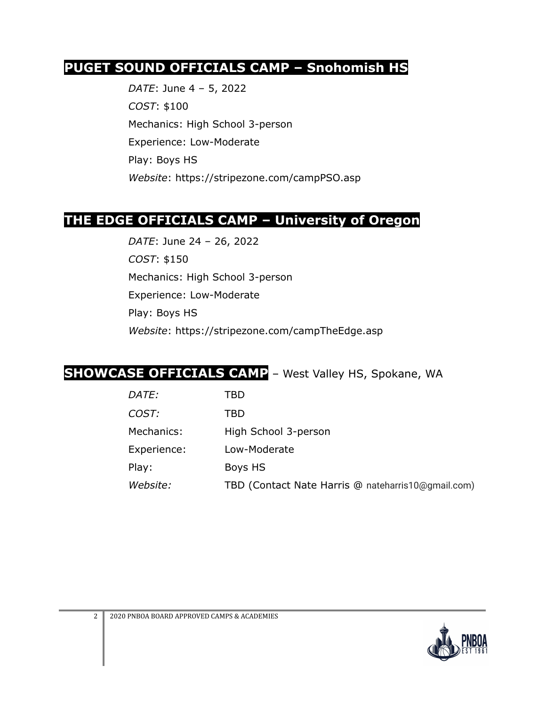#### **PUGET SOUND OFFICIALS CAMP – Snohomish HS**

*DATE*: June 4 – 5, 2022 *COST*: \$100 Mechanics: High School 3-person Experience: Low-Moderate Play: Boys HS *Website*: https://stripezone.com/campPSO.asp

#### **THE EDGE OFFICIALS CAMP – University of Oregon**

*DATE*: June 24 – 26, 2022 *COST*: \$150 Mechanics: High School 3-person Experience: Low-Moderate Play: Boys HS *Website*: https://stripezone.com/campTheEdge.asp

#### **SHOWCASE OFFICIALS CAMP** – West Valley HS, Spokane, WA

| <i>DATE:</i> | TBD                                                |
|--------------|----------------------------------------------------|
| COST:        | TBD                                                |
| Mechanics:   | High School 3-person                               |
| Experience:  | Low-Moderate                                       |
| Play:        | Boys HS                                            |
| Website:     | TBD (Contact Nate Harris @ nateharris10@gmail.com) |

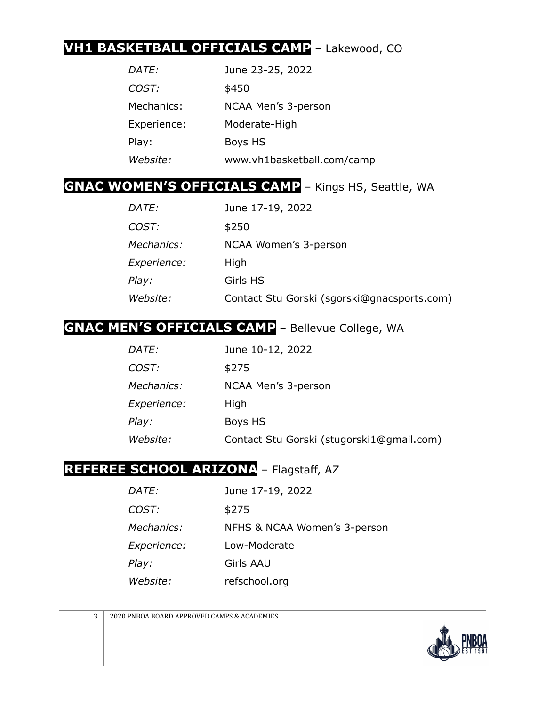### **VH1 BASKETBALL OFFICIALS CAMP** – Lakewood, CO

| <i>DATE:</i> | June 23-25, 2022           |
|--------------|----------------------------|
| COST:        | \$450                      |
| Mechanics:   | NCAA Men's 3-person        |
| Experience:  | Moderate-High              |
| Play:        | Boys HS                    |
| Website:     | www.vh1basketball.com/camp |

#### **GNAC WOMEN'S OFFICIALS CAMP** – Kings HS, Seattle, WA

| <i>DATE:</i>       | June 17-19, 2022                            |
|--------------------|---------------------------------------------|
| COST:              | \$250                                       |
| <i>Mechanics:</i>  | NCAA Women's 3-person                       |
| <i>Experience:</i> | High                                        |
| Play:              | Girls HS                                    |
| Website:           | Contact Stu Gorski (sgorski@gnacsports.com) |

### **GNAC MEN'S OFFICIALS CAMP** – Bellevue College, WA

| <i>DATE:</i>       | June 10-12, 2022                          |
|--------------------|-------------------------------------------|
| COST:              | \$275                                     |
| <i>Mechanics:</i>  | NCAA Men's 3-person                       |
| <i>Experience:</i> | High                                      |
| Play:              | Boys HS                                   |
| Website:           | Contact Stu Gorski (stugorski1@gmail.com) |

## **REFEREE SCHOOL ARIZONA** – Flagstaff, AZ

| <i>DATE:</i>       | June 17-19, 2022             |
|--------------------|------------------------------|
| <i>COST:</i>       | \$275                        |
| <i>Mechanics:</i>  | NFHS & NCAA Women's 3-person |
| <i>Experience:</i> | Low-Moderate                 |
| Play:              | Girls AAU                    |
| <i>Website:</i>    | refschool.org                |

3 2020 PNBOA BOARD APPROVED CAMPS & ACADEMIES